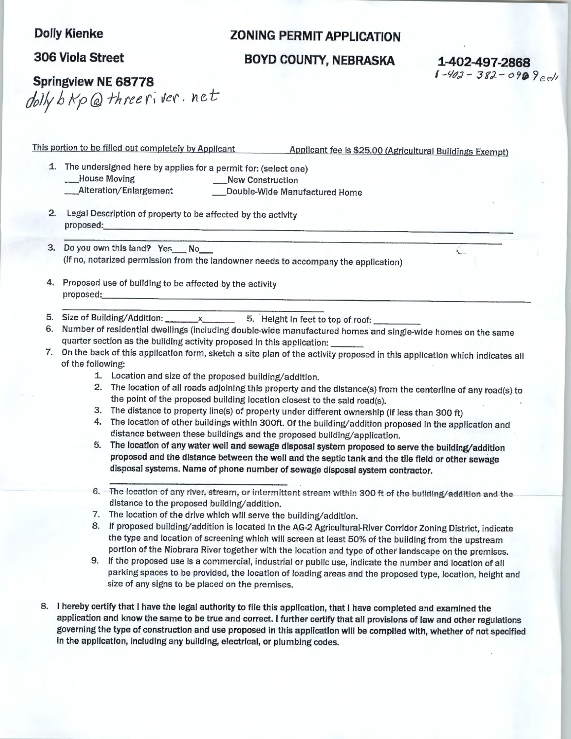## **Dolly Klenke**

## **306 Viola Street**

## **ZONING PERMIT APPLICATION**

## **BOYD COUNTY, NEBRASKA 1-402-497-2868**

 $1 - 403 - 382 - 0909e$ 

**Springview NE 68778**  *dl!y b* kp *(g)* -rh *tee r;* vef · *net:* 

This portion to be filled out completely by Applicant Applicant fee is \$25.00 (Agricultural Buildings Exempt)

1. The undersigned here by applies for a permit for: (select one) \_House Moving **\_New** Construction \_\_Alteration/Enlargement \_\_\_\_\_\_\_\_\_\_\_\_Double-Wide Manufactured Home

- 2. Legal Description of property to be affected by the activity proposed:·----------------------'----------------
- 3. Do you own this land? Yes\_\_No\_\_<br>(If no, notarized permission from the landowner needs to accompany the application)
- 4. Proposed use of building to be affected by the activity proposed:
- 5. Size of Building/Addition:  $x$  5. Height in feet to top of roof:
- 6. Number of residential dwellings (including double-Wide manufactured homes and single-wide homes on the same quarter section as the building activity proposed in this application:
- 7. On the back of this application form, sketch a site plan of the activity proposed in this application which indicates all of the following:
	- 1. Location and size of the proposed building/addition.
	- 2. The location of all roads adjoining this property and the distance(s) from the centerline of any road(s) to the point of the proposed building location closest to the said road(s).
	- 3. The distance to property line(s) of property under different ownership (if less than 300 ft)
	- 4. The location of other buildings within 300ft. Of the building/addition proposed in the application and distance between these buildings and the proposed building/application.
	- 5. The location of any water well and sewage disposal system proposed to serve the building/addition proposed and the distance between the well and the septic tank and the tile field or other sewage disposal systems. Name of phone number of sewage disposal system contractor.
	- 6. The location of any river, stream, or intermittent stream within 300 ft of the building/addition and the distance to the proposed building/addition.
	- 7. The location of the drive which will serve the building/addition.
	- 8. If proposed building/addition is located in the AG-2 Agricultural-River Corridor Zoning District, indicate the type and location of screening which will screen at least 50% of the building from the upstream portion of the Niobrara River together with the location and type of other landscape on the premises.
	- 9. If the proposed use is a commercial, industrial or public use, indicate the number and location of all parking spaces to be provided, the location of loading areas and the proposed type, location, height and size of any signs to be placed on the premises.
- 8. I hereby certify that I have the legal authority to file this application, that I have completed and examined the application and know the same to be true and correct. I further certify that all provisions of law and other regulations governing the type of construction and use proposed In this appllcatlon will be complied with, whether of not specified in the application, including any building, electrical, or plumbing codes.